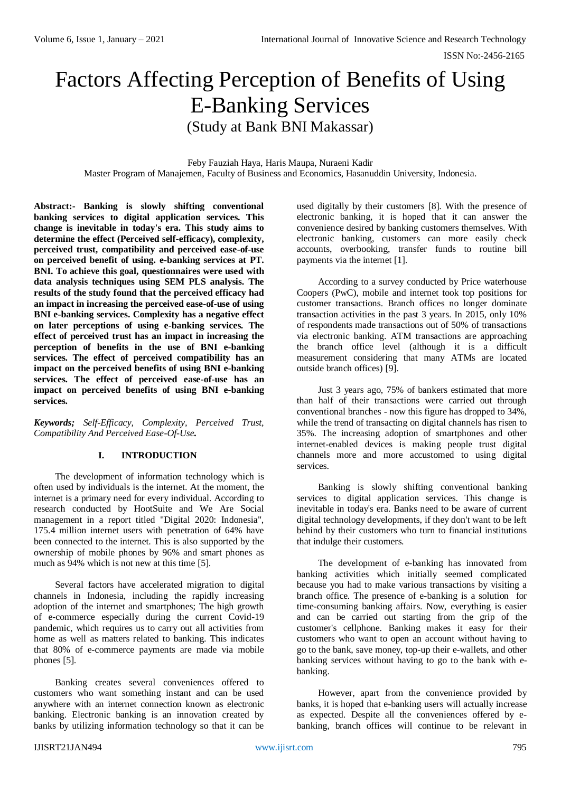# Factors Affecting Perception of Benefits of Using E-Banking Services (Study at Bank BNI Makassar)

Feby Fauziah Haya, Haris Maupa, Nuraeni Kadir Master Program of Manajemen, Faculty of Business and Economics, Hasanuddin University, Indonesia.

**Abstract:- Banking is slowly shifting conventional banking services to digital application services. This change is inevitable in today's era. This study aims to determine the effect (Perceived self-efficacy), complexity, perceived trust, compatibility and perceived ease-of-use on perceived benefit of using. e-banking services at PT. BNI. To achieve this goal, questionnaires were used with data analysis techniques using SEM PLS analysis. The results of the study found that the perceived efficacy had an impact in increasing the perceived ease-of-use of using BNI e-banking services. Complexity has a negative effect on later perceptions of using e-banking services. The effect of perceived trust has an impact in increasing the perception of benefits in the use of BNI e-banking services. The effect of perceived compatibility has an impact on the perceived benefits of using BNI e-banking services. The effect of perceived ease-of-use has an impact on perceived benefits of using BNI e-banking services.**

*Keywords; Self-Efficacy, Complexity, Perceived Trust, Compatibility And Perceived Ease-Of-Use.*

## **I. INTRODUCTION**

The development of information technology which is often used by individuals is the internet. At the moment, the internet is a primary need for every individual. According to research conducted by HootSuite and We Are Social management in a report titled "Digital 2020: Indonesia", 175.4 million internet users with penetration of 64% have been connected to the internet. This is also supported by the ownership of mobile phones by 96% and smart phones as much as 94% which is not new at this time [5].

Several factors have accelerated migration to digital channels in Indonesia, including the rapidly increasing adoption of the internet and smartphones; The high growth of e-commerce especially during the current Covid-19 pandemic, which requires us to carry out all activities from home as well as matters related to banking. This indicates that 80% of e-commerce payments are made via mobile phones [5].

Banking creates several conveniences offered to customers who want something instant and can be used anywhere with an internet connection known as electronic banking. Electronic banking is an innovation created by banks by utilizing information technology so that it can be

used digitally by their customers [8]. With the presence of electronic banking, it is hoped that it can answer the convenience desired by banking customers themselves. With electronic banking, customers can more easily check accounts, overbooking, transfer funds to routine bill payments via the internet [1].

According to a survey conducted by Price waterhouse Coopers (PwC), mobile and internet took top positions for customer transactions. Branch offices no longer dominate transaction activities in the past 3 years. In 2015, only 10% of respondents made transactions out of 50% of transactions via electronic banking. ATM transactions are approaching the branch office level (although it is a difficult measurement considering that many ATMs are located outside branch offices) [9].

Just 3 years ago, 75% of bankers estimated that more than half of their transactions were carried out through conventional branches - now this figure has dropped to 34%, while the trend of transacting on digital channels has risen to 35%. The increasing adoption of smartphones and other internet-enabled devices is making people trust digital channels more and more accustomed to using digital services.

Banking is slowly shifting conventional banking services to digital application services. This change is inevitable in today's era. Banks need to be aware of current digital technology developments, if they don't want to be left behind by their customers who turn to financial institutions that indulge their customers.

The development of e-banking has innovated from banking activities which initially seemed complicated because you had to make various transactions by visiting a branch office. The presence of e-banking is a solution for time-consuming banking affairs. Now, everything is easier and can be carried out starting from the grip of the customer's cellphone. Banking makes it easy for their customers who want to open an account without having to go to the bank, save money, top-up their e-wallets, and other banking services without having to go to the bank with ebanking.

However, apart from the convenience provided by banks, it is hoped that e-banking users will actually increase as expected. Despite all the conveniences offered by ebanking, branch offices will continue to be relevant in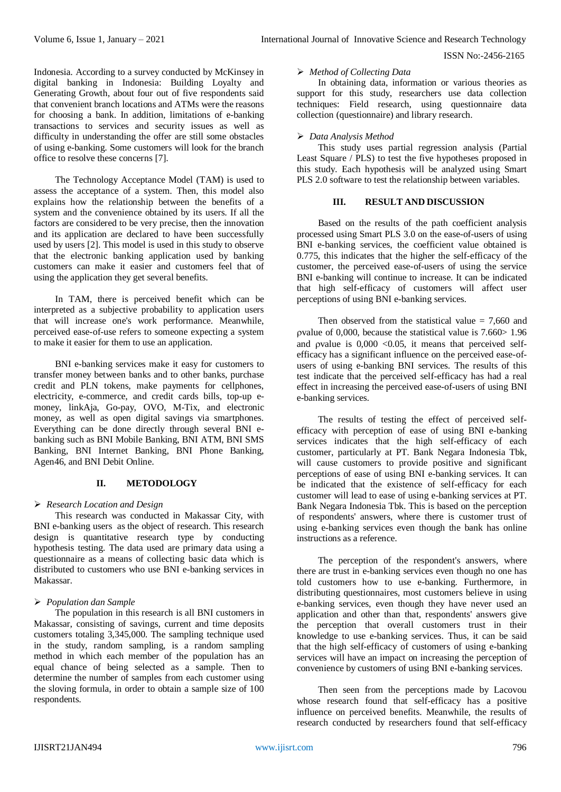Indonesia. According to a survey conducted by McKinsey in digital banking in Indonesia: Building Loyalty and Generating Growth, about four out of five respondents said that convenient branch locations and ATMs were the reasons for choosing a bank. In addition, limitations of e-banking transactions to services and security issues as well as difficulty in understanding the offer are still some obstacles of using e-banking. Some customers will look for the branch office to resolve these concerns [7].

The Technology Acceptance Model (TAM) is used to assess the acceptance of a system. Then, this model also explains how the relationship between the benefits of a system and the convenience obtained by its users. If all the factors are considered to be very precise, then the innovation and its application are declared to have been successfully used by users [2]. This model is used in this study to observe that the electronic banking application used by banking customers can make it easier and customers feel that of using the application they get several benefits.

In TAM, there is perceived benefit which can be interpreted as a subjective probability to application users that will increase one's work performance. Meanwhile, perceived ease-of-use refers to someone expecting a system to make it easier for them to use an application.

BNI e-banking services make it easy for customers to transfer money between banks and to other banks, purchase credit and PLN tokens, make payments for cellphones, electricity, e-commerce, and credit cards bills, top-up emoney, linkAja, Go-pay, OVO, M-Tix, and electronic money, as well as open digital savings via smartphones. Everything can be done directly through several BNI ebanking such as BNI Mobile Banking, BNI ATM, BNI SMS Banking, BNI Internet Banking, BNI Phone Banking, Agen46, and BNI Debit Online.

## **II. METODOLOGY**

## *Research Location and Design*

This research was conducted in Makassar City, with BNI e-banking users as the object of research. This research design is quantitative research type by conducting hypothesis testing. The data used are primary data using a questionnaire as a means of collecting basic data which is distributed to customers who use BNI e-banking services in Makassar.

## *Population dan Sample*

The population in this research is all BNI customers in Makassar, consisting of savings, current and time deposits customers totaling 3,345,000. The sampling technique used in the study, random sampling, is a random sampling method in which each member of the population has an equal chance of being selected as a sample. Then to determine the number of samples from each customer using the sloving formula, in order to obtain a sample size of 100 respondents.

## *Method of Collecting Data*

In obtaining data, information or various theories as support for this study, researchers use data collection techniques: Field research, using questionnaire data collection (questionnaire) and library research.

## *Data Analysis Method*

This study uses partial regression analysis (Partial Least Square / PLS) to test the five hypotheses proposed in this study. Each hypothesis will be analyzed using Smart PLS 2.0 software to test the relationship between variables.

## **III. RESULT AND DISCUSSION**

Based on the results of the path coefficient analysis processed using Smart PLS 3.0 on the ease-of-users of using BNI e-banking services, the coefficient value obtained is 0.775, this indicates that the higher the self-efficacy of the customer, the perceived ease-of-users of using the service BNI e-banking will continue to increase. It can be indicated that high self-efficacy of customers will affect user perceptions of using BNI e-banking services.

Then observed from the statistical value  $= 7,660$  and value of 0,000, because the statistical value is 7.660> 1.96 and pvalue is  $0,000 < 0.05$ , it means that perceived selfefficacy has a significant influence on the perceived ease-ofusers of using e-banking BNI services. The results of this test indicate that the perceived self-efficacy has had a real effect in increasing the perceived ease-of-users of using BNI e-banking services.

The results of testing the effect of perceived selfefficacy with perception of ease of using BNI e-banking services indicates that the high self-efficacy of each customer, particularly at PT. Bank Negara Indonesia Tbk, will cause customers to provide positive and significant perceptions of ease of using BNI e-banking services. It can be indicated that the existence of self-efficacy for each customer will lead to ease of using e-banking services at PT. Bank Negara Indonesia Tbk. This is based on the perception of respondents' answers, where there is customer trust of using e-banking services even though the bank has online instructions as a reference.

The perception of the respondent's answers, where there are trust in e-banking services even though no one has told customers how to use e-banking. Furthermore, in distributing questionnaires, most customers believe in using e-banking services, even though they have never used an application and other than that, respondents' answers give the perception that overall customers trust in their knowledge to use e-banking services. Thus, it can be said that the high self-efficacy of customers of using e-banking services will have an impact on increasing the perception of convenience by customers of using BNI e-banking services.

Then seen from the perceptions made by Lacovou whose research found that self-efficacy has a positive influence on perceived benefits. Meanwhile, the results of research conducted by researchers found that self-efficacy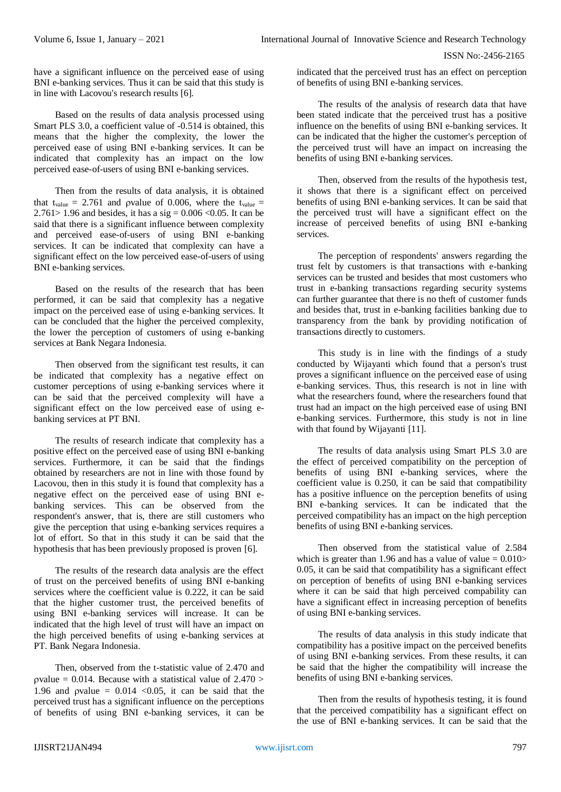have a significant influence on the perceived ease of using BNI e-banking services. Thus it can be said that this study is in line with Lacovou's research results [6].

Based on the results of data analysis processed using Smart PLS 3.0, a coefficient value of -0.514 is obtained, this means that the higher the complexity, the lower the perceived ease of using BNI e-banking services. It can be indicated that complexity has an impact on the low perceived ease-of-users of using BNI e-banking services.

Then from the results of data analysis, it is obtained that t<sub>value</sub> = 2.761 and pvalue of 0.006, where the t<sub>value</sub> = 2.761 > 1.96 and besides, it has a sig =  $0.006 \le 0.05$ . It can be said that there is a significant influence between complexity and perceived ease-of-users of using BNI e-banking services. It can be indicated that complexity can have a significant effect on the low perceived ease-of-users of using BNI e-banking services.

Based on the results of the research that has been performed, it can be said that complexity has a negative impact on the perceived ease of using e-banking services. It can be concluded that the higher the perceived complexity, the lower the perception of customers of using e-banking services at Bank Negara Indonesia.

Then observed from the significant test results, it can be indicated that complexity has a negative effect on customer perceptions of using e-banking services where it can be said that the perceived complexity will have a significant effect on the low perceived ease of using ebanking services at PT BNI.

The results of research indicate that complexity has a positive effect on the perceived ease of using BNI e-banking services. Furthermore, it can be said that the findings obtained by researchers are not in line with those found by Lacovou, then in this study it is found that complexity has a negative effect on the perceived ease of using BNI ebanking services. This can be observed from the respondent's answer, that is, there are still customers who give the perception that using e-banking services requires a lot of effort. So that in this study it can be said that the hypothesis that has been previously proposed is proven [6].

The results of the research data analysis are the effect of trust on the perceived benefits of using BNI e-banking services where the coefficient value is 0.222, it can be said that the higher customer trust, the perceived benefits of using BNI e-banking services will increase. It can be indicated that the high level of trust will have an impact on the high perceived benefits of using e-banking services at PT. Bank Negara Indonesia.

Then, observed from the t-statistic value of 2.470 and pvalue = 0.014. Because with a statistical value of  $2.470 >$ 1.96 and  $pvalue = 0.014$  < 0.05, it can be said that the perceived trust has a significant influence on the perceptions of benefits of using BNI e-banking services, it can be indicated that the perceived trust has an effect on perception of benefits of using BNI e-banking services.

The results of the analysis of research data that have been stated indicate that the perceived trust has a positive influence on the benefits of using BNI e-banking services. It can be indicated that the higher the customer's perception of the perceived trust will have an impact on increasing the benefits of using BNI e-banking services.

Then, observed from the results of the hypothesis test, it shows that there is a significant effect on perceived benefits of using BNI e-banking services. It can be said that the perceived trust will have a significant effect on the increase of perceived benefits of using BNI e-banking services.

The perception of respondents' answers regarding the trust felt by customers is that transactions with e-banking services can be trusted and besides that most customers who trust in e-banking transactions regarding security systems can further guarantee that there is no theft of customer funds and besides that, trust in e-banking facilities banking due to transparency from the bank by providing notification of transactions directly to customers.

This study is in line with the findings of a study conducted by Wijayanti which found that a person's trust proves a significant influence on the perceived ease of using e-banking services. Thus, this research is not in line with what the researchers found, where the researchers found that trust had an impact on the high perceived ease of using BNI e-banking services. Furthermore, this study is not in line with that found by Wijayanti [11].

The results of data analysis using Smart PLS 3.0 are the effect of perceived compatibility on the perception of benefits of using BNI e-banking services, where the coefficient value is 0.250, it can be said that compatibility has a positive influence on the perception benefits of using BNI e-banking services. It can be indicated that the perceived compatibility has an impact on the high perception benefits of using BNI e-banking services.

Then observed from the statistical value of 2.584 which is greater than 1.96 and has a value of value  $= 0.010$ > 0.05, it can be said that compatibility has a significant effect on perception of benefits of using BNI e-banking services where it can be said that high perceived compability can have a significant effect in increasing perception of benefits of using BNI e-banking services.

The results of data analysis in this study indicate that compatibility has a positive impact on the perceived benefits of using BNI e-banking services. From these results, it can be said that the higher the compatibility will increase the benefits of using BNI e-banking services.

Then from the results of hypothesis testing, it is found that the perceived compatibility has a significant effect on the use of BNI e-banking services. It can be said that the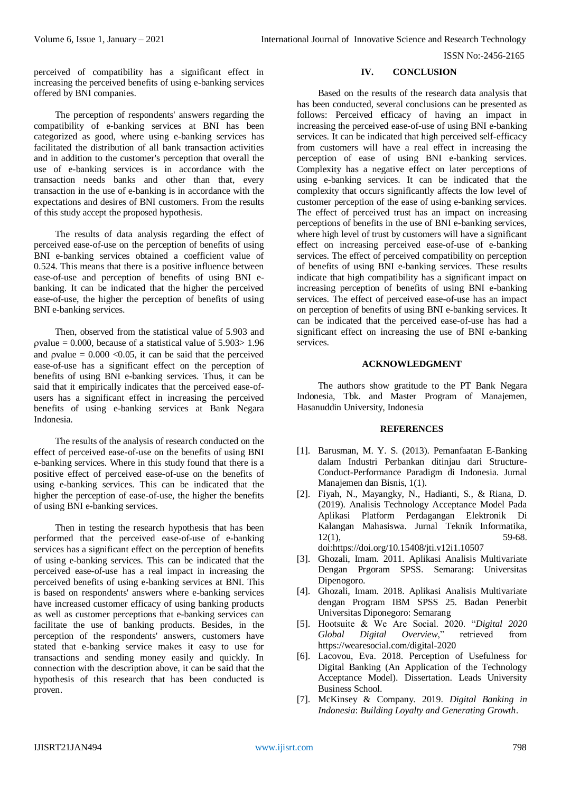perceived of compatibility has a significant effect in increasing the perceived benefits of using e-banking services offered by BNI companies.

The perception of respondents' answers regarding the compatibility of e-banking services at BNI has been categorized as good, where using e-banking services has facilitated the distribution of all bank transaction activities and in addition to the customer's perception that overall the use of e-banking services is in accordance with the transaction needs banks and other than that, every transaction in the use of e-banking is in accordance with the expectations and desires of BNI customers. From the results of this study accept the proposed hypothesis.

The results of data analysis regarding the effect of perceived ease-of-use on the perception of benefits of using BNI e-banking services obtained a coefficient value of 0.524. This means that there is a positive influence between ease-of-use and perception of benefits of using BNI ebanking. It can be indicated that the higher the perceived ease-of-use, the higher the perception of benefits of using BNI e-banking services.

Then, observed from the statistical value of 5.903 and  $pvalue = 0.000$ , because of a statistical value of 5.903> 1.96 and  $pvalue = 0.000 \le 0.05$ , it can be said that the perceived ease-of-use has a significant effect on the perception of benefits of using BNI e-banking services. Thus, it can be said that it empirically indicates that the perceived ease-ofusers has a significant effect in increasing the perceived benefits of using e-banking services at Bank Negara Indonesia.

The results of the analysis of research conducted on the effect of perceived ease-of-use on the benefits of using BNI e-banking services. Where in this study found that there is a positive effect of perceived ease-of-use on the benefits of using e-banking services. This can be indicated that the higher the perception of ease-of-use, the higher the benefits of using BNI e-banking services.

Then in testing the research hypothesis that has been performed that the perceived ease-of-use of e-banking services has a significant effect on the perception of benefits of using e-banking services. This can be indicated that the perceived ease-of-use has a real impact in increasing the perceived benefits of using e-banking services at BNI. This is based on respondents' answers where e-banking services have increased customer efficacy of using banking products as well as customer perceptions that e-banking services can facilitate the use of banking products. Besides, in the perception of the respondents' answers, customers have stated that e-banking service makes it easy to use for transactions and sending money easily and quickly. In connection with the description above, it can be said that the hypothesis of this research that has been conducted is proven.

#### **IV. CONCLUSION**

Based on the results of the research data analysis that has been conducted, several conclusions can be presented as follows: Perceived efficacy of having an impact in increasing the perceived ease-of-use of using BNI e-banking services. It can be indicated that high perceived self-efficacy from customers will have a real effect in increasing the perception of ease of using BNI e-banking services. Complexity has a negative effect on later perceptions of using e-banking services. It can be indicated that the complexity that occurs significantly affects the low level of customer perception of the ease of using e-banking services. The effect of perceived trust has an impact on increasing perceptions of benefits in the use of BNI e-banking services, where high level of trust by customers will have a significant effect on increasing perceived ease-of-use of e-banking services. The effect of perceived compatibility on perception of benefits of using BNI e-banking services. These results indicate that high compatibility has a significant impact on increasing perception of benefits of using BNI e-banking services. The effect of perceived ease-of-use has an impact on perception of benefits of using BNI e-banking services. It can be indicated that the perceived ease-of-use has had a significant effect on increasing the use of BNI e-banking services.

## **ACKNOWLEDGMENT**

The authors show gratitude to the PT Bank Negara Indonesia, Tbk. and Master Program of Manajemen, Hasanuddin University, Indonesia

## **REFERENCES**

- [1]. Barusman, M. Y. S. (2013). Pemanfaatan E-Banking dalam Industri Perbankan ditinjau dari Structure-Conduct-Performance Paradigm di Indonesia. Jurnal Manajemen dan Bisnis, 1(1).
- [2]. Fiyah, N., Mayangky, N., Hadianti, S., & Riana, D. (2019). Analisis Technology Acceptance Model Pada Aplikasi Platform Perdagangan Elektronik Di Kalangan Mahasiswa. Jurnal Teknik Informatika,  $12(1)$ , 59-68.

doi[:https://doi.org/10.15408/jti.v12i1.10507](https://doi.org/10.15408/jti.v12i1.10507)

- [3]. Ghozali, Imam. 2011. Aplikasi Analisis Multivariate Dengan Prgoram SPSS. Semarang: Universitas Dipenogoro.
- [4]. Ghozali, Imam. 2018. Aplikasi Analisis Multivariate dengan Program IBM SPSS 25. Badan Penerbit Universitas Diponegoro: Semarang
- [5]. Hootsuite & We Are Social. 2020. "*Digital 2020 Global Digital Overview*," retrieved from https://wearesocial.com/digital-2020
- [6]. Lacovou, Eva. 2018. Perception of Usefulness for Digital Banking (An Application of the Technology Acceptance Model). Dissertation. Leads University Business School.
- [7]. McKinsey & Company. 2019. *Digital Banking in Indonesia*: *Building Loyalty and Generating Growth*.